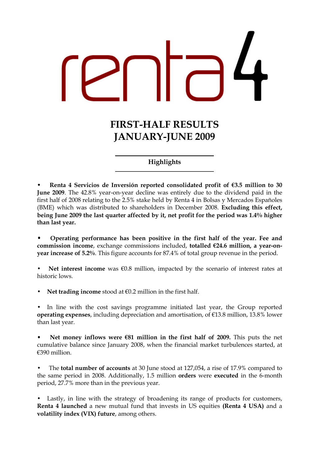FIRST-HALF RESULTS JANUARY-JUNE 2009

### Highlights

Renta 4 Servicios de Inversión reported consolidated profit of  $\epsilon$ 3.5 million to 30 June 2009. The 42.8% year-on-year decline was entirely due to the dividend paid in the first half of 2008 relating to the 2.5% stake held by Renta 4 in Bolsas y Mercados Españoles (BME) which was distributed to shareholders in December 2008. Excluding this effect, being June 2009 the last quarter affected by it, net profit for the period was 1.4% higher than last year.

•Operating performance has been positive in the first half of the year. Fee and commission income, exchange commissions included, totalled €24.6 million, a year-onyear increase of 5.2%. This figure accounts for 87.4% of total group revenue in the period.

Net interest income was  $\epsilon$ 0.8 million, impacted by the scenario of interest rates at historic lows.

Net trading income stood at  $\epsilon$ 0.2 million in the first half.

In line with the cost savings programme initiated last year, the Group reported operating expenses, including depreciation and amortisation, of €13.8 million, 13.8% lower than last year.

•Net money inflows were €81 million in the first half of 2009. This puts the net cumulative balance since January 2008, when the financial market turbulences started, at €390 million.

The **total number of accounts** at 30 June stood at 127,054, a rise of 17.9% compared to the same period in 2008. Additionally, 1.5 million orders were executed in the 6-month period, 27.7% more than in the previous year.

• Lastly, in line with the strategy of broadening its range of products for customers, Renta 4 launched a new mutual fund that invests in US equities (Renta 4 USA) and a volatility index (VIX) future, among others.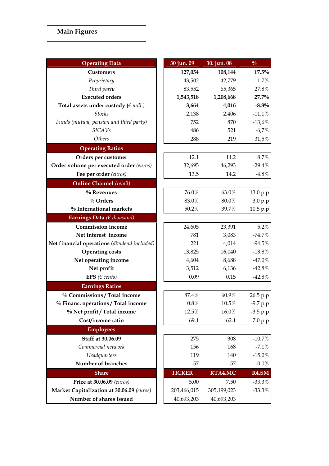# Main Figures

| <b>Operating Data</b>                        | 30 jun. 09    | 30. jun. 08 | $\frac{0}{0}$     |
|----------------------------------------------|---------------|-------------|-------------------|
| <b>Customers</b>                             | 127,054       | 108,144     | $17.5\%$          |
| Proprietary                                  | 43,502        | 42,779      | 1.7%              |
| Third party                                  | 83,552        | 65,365      | 27.8%             |
| <b>Executed orders</b>                       | 1,543,518     | 1,208,668   | 27.7%             |
| Total assets under custody ( $\in$ mill.)    | 3,664         | 4,016       | $-8.8\%$          |
| <b>Stocks</b>                                | 2,138         | 2,406       | $-11,1%$          |
| Funds (mutual, pension and third party)      | 752           | 870         | $-13,6%$          |
| <b>SICAVs</b>                                | 486           | 521         | $-6,7%$           |
| Others                                       | 288           | 219         | 31,5%             |
| <b>Operating Ratios</b>                      |               |             |                   |
| Orders per customer                          | 12.1          | 11.2        | 8.7%              |
| Order volume per executed order (euros)      | 32,695        | 46,293      | $-29.4%$          |
| Fee per order (euros)                        | 13.5          | 14.2        | $-4.8\%$          |
| <b>Online Channel</b> (retail)               |               |             |                   |
| % Revenues                                   | 76.0%         | 63.0%       | 13.0 p.p          |
| $\%$ Orders                                  | 83.0%         | 80.0%       | 3.0 p.p           |
| % International markets                      | 50.2%         | 39.7%       | 10.5 p.p          |
| Earnings Data ( $\in$ thousand)              |               |             |                   |
| <b>Commission income</b>                     | 24,605        | 23,391      | 5.2%              |
| Net interest income                          | 781           | 3,083       | $-74.7%$          |
| Net financial operations (dividend included) | 221           | 4,014       | $-94.5%$          |
| <b>Operating costs</b>                       | 13,825        | 16,040      | $-13.8%$          |
| Net operating income                         | 4,604         | 8,688       | $-47.0%$          |
| Net profit                                   | 3,512         | 6,136       | $-42.8%$          |
| EPS ( $\in$ cents)                           | 0.09          | 0.15        | $-42.8%$          |
| <b>Earnings Ratios</b>                       |               |             |                   |
| % Commissions / Total income                 | 87.4%         | 60.9%       | 26.5 p.p          |
| % Financ. operations / Total income          | 0.8%          | $10.5\%$    | $-9.7 p.p$        |
| % Net profit / Total income                  | 12.5%         | 16.0%       | $-3.5 p.p$        |
| Cost/income ratio                            | 69.1          | 62.1        | 7.0 p.p           |
| <b>Employees</b>                             |               |             |                   |
| Staff at 30.06.09                            | 275           | 308         | $-10.7%$          |
| Commercial network                           | 156           | 168         | $-7.1%$           |
| Headquarters                                 | 119           | 140         | $-15.0%$          |
| Number of branches                           | 57            | 57          | $0.0\%$           |
| <b>Share</b>                                 | <b>TICKER</b> | RTA4.MC     | R <sub>4.SM</sub> |
| Price at 30.06.09 (euros)                    | 5.00          | 7.50        | $-33.3%$          |
| Market Capitalization at 30.06.09 (euros)    | 203,466,015   | 305,199,023 | $-33.3%$          |
| Number of shares issued                      | 40,693,203    | 40,693,203  |                   |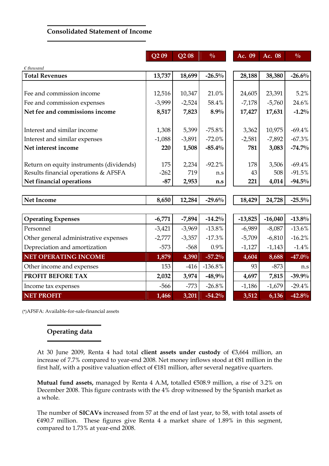#### Consolidated Statement of Income

|                                          | $\overline{Q}209$ | Q208     | $\frac{0}{0}$ | Ac. 09    | Ac. 08    | $\frac{0}{0}$ |
|------------------------------------------|-------------------|----------|---------------|-----------|-----------|---------------|
| $\epsilon$ thousand                      |                   |          |               |           |           |               |
| <b>Total Revenues</b>                    | 13,737            | 18,699   | $-26.5%$      | 28,188    | 38,380    | $-26.6%$      |
|                                          |                   |          |               |           |           |               |
| Fee and commission income                | 12,516            | 10,347   | 21.0%         | 24,605    | 23,391    | 5.2%          |
| Fee and commission expenses              | $-3,999$          | $-2,524$ | 58.4%         | $-7,178$  | $-5,760$  | 24.6%         |
| Net fee and commissions income           | 8,517             | 7,823    | 8.9%          | 17,427    | 17,631    | $-1.2\%$      |
| Interest and similar income              | 1,308             | 5,399    | $-75.8%$      | 3,362     | 10,975    | $-69.4%$      |
| Interest and similar expenses            | $-1,088$          | $-3,891$ | $-72.0%$      | $-2,581$  | $-7,892$  | $-67.3%$      |
| Net interest income                      | 220               | 1,508    | $-85.4%$      | 781       | 3,083     | $-74.7\%$     |
| Return on equity instruments (dividends) | 175               | 2,234    | $-92.2%$      | 178       | 3,506     | $-69.4%$      |
| Results financial operations & AFSFA     | $-262$            | 719      | n.s           | 43        | 508       | $-91.5%$      |
| Net financial operations                 | $-87$             | 2,953    | n.s           | 221       | 4,014     | $-94.5\%$     |
|                                          |                   |          |               |           |           |               |
| <b>Net Income</b>                        | 8,650             | 12,284   | $-29.6%$      | 18,429    | 24,728    | $-25.5\%$     |
|                                          |                   |          |               |           |           |               |
| <b>Operating Expenses</b>                | $-6,771$          | $-7,894$ | $-14.2%$      | $-13,825$ | $-16,040$ | $-13.8%$      |
| Personnel                                | $-3,421$          | $-3,969$ | $-13.8%$      | $-6,989$  | $-8,087$  | $-13.6%$      |
| Other general administrative expenses    | $-2,777$          | $-3,357$ | $-17.3%$      | $-5,709$  | $-6,810$  | $-16.2%$      |
| Depreciation and amortization            | $-573$            | $-568$   | 0.9%          | $-1,127$  | $-1,143$  | $-1.4%$       |
| <b>NET OPERATING INCOME</b>              | 1,879             | 4,390    | $-57.2%$      | 4,604     | 8,688     | $-47.0%$      |
| Other income and expenses                | 153               | $-416$   | $-136.8%$     | 93        | $-873$    | n.s           |
| PROFIT BEFORE TAX                        | 2,032             | 3,974    | $-48,9%$      | 4,697     | 7,815     | $-39.9%$      |
| Income tax expenses                      | $-566$            | $-773$   | $-26.8%$      | $-1,186$  | $-1,679$  | $-29.4%$      |
| <b>NET PROFIT</b>                        | 1,466             | 3,201    | $-54.2%$      | 3,512     | 6,136     | $-42.8%$      |

(\*)AFSFA: Available-for-sale-financial assets

# Operating data

At 30 June 2009, Renta 4 had total client assets under custody of €3,664 million, an increase of 7.7% compared to year-end 2008. Net money inflows stood at €81 million in the first half, with a positive valuation effect of €181 million, after several negative quarters.

Mutual fund assets, managed by Renta 4 A.M, totalled €508.9 million, a rise of 3.2% on December 2008. This figure contrasts with the 4% drop witnessed by the Spanish market as a whole.

The number of SICAVs increased from 57 at the end of last year, to 58, with total assets of  $€490.7$  million. These figures give Renta 4 a market share of 1.89% in this segment, compared to 1.73% at year-end 2008.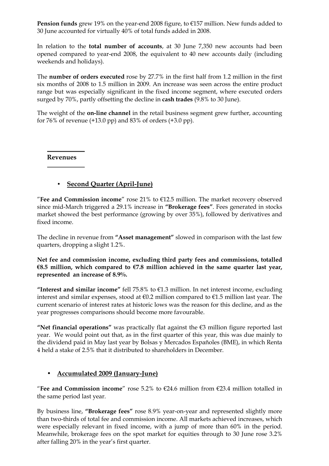**Pension funds** grew 19% on the year-end 2008 figure, to  $E$ 157 million. New funds added to 30 June accounted for virtually 40% of total funds added in 2008.

In relation to the **total number of accounts**, at 30 June 7,350 new accounts had been opened compared to year-end 2008, the equivalent to 40 new accounts daily (including weekends and holidays).

The number of orders executed rose by 27.7% in the first half from 1.2 million in the first six months of 2008 to 1.5 million in 2009. An increase was seen across the entire product range but was especially significant in the fixed income segment, where executed orders surged by 70%, partly offsetting the decline in cash trades (9.8% to 30 June).

The weight of the **on-line channel** in the retail business segment grew further, accounting for 76% of revenue (+13.0 pp) and 83% of orders (+3.0 pp).

Revenues

# • Second Quarter (April-June)

"Fee and Commission income" rose 21% to  $E$ 12.5 million. The market recovery observed since mid-March triggered a 29.1% increase in "Brokerage fees". Fees generated in stocks market showed the best performance (growing by over 35%), followed by derivatives and fixed income.

The decline in revenue from "Asset management" slowed in comparison with the last few quarters, dropping a slight 1.2%.

Net fee and commission income, excluding third party fees and commissions, totalled €8.5 million, which compared to  $€7.8$  million achieved in the same quarter last year, represented an increase of 8.9%.

"Interest and similar income" fell 75.8% to  $\epsilon$ 1.3 million. In net interest income, excluding interest and similar expenses, stood at €0.2 million compared to €1.5 million last year. The current scenario of interest rates at historic lows was the reason for this decline, and as the year progresses comparisons should become more favourable.

"Net financial operations" was practically flat against the €3 million figure reported last year. We would point out that, as in the first quarter of this year, this was due mainly to the dividend paid in May last year by Bolsas y Mercados Españoles (BME), in which Renta 4 held a stake of 2.5% that it distributed to shareholders in December.

#### • Accumulated 2009 (January-June)

"Fee and Commission income" rose 5.2% to  $\epsilon$ 24.6 million from  $\epsilon$ 23.4 million totalled in the same period last year.

By business line, "Brokerage fees" rose 8.9% year-on-year and represented slightly more than two-thirds of total fee and commission income. All markets achieved increases, which were especially relevant in fixed income, with a jump of more than 60% in the period. Meanwhile, brokerage fees on the spot market for equities through to 30 June rose 3.2% after falling 20% in the year's first quarter.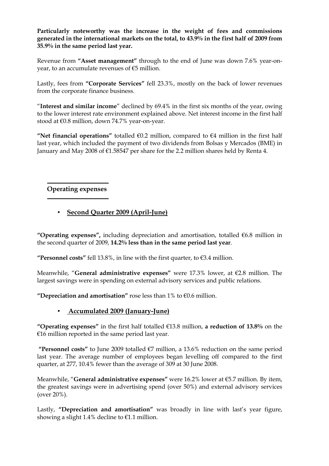Particularly noteworthy was the increase in the weight of fees and commissions generated in the international markets on the total, to 43.9% in the first half of 2009 from 35.9% in the same period last year.

Revenue from "Asset management" through to the end of June was down 7.6% year-onyear, to an accumulate revenues of €5 million.

Lastly, fees from "Corporate Services" fell 23.3%, mostly on the back of lower revenues from the corporate finance business.

"Interest and similar income" declined by 69.4% in the first six months of the year, owing to the lower interest rate environment explained above. Net interest income in the first half stood at €0.8 million, down 74.7% year-on-year.

"Net financial operations" totalled  $\epsilon$ 0.2 million, compared to  $\epsilon$ 4 million in the first half last year, which included the payment of two dividends from Bolsas y Mercados (BME) in January and May 2008 of €1.58547 per share for the 2.2 million shares held by Renta 4.

# Operating expenses

# • Second Quarter 2009 (April-June)

"Operating expenses", including depreciation and amortisation, totalled  $66.8$  million in the second quarter of 2009, 14.2% less than in the same period last year.

"Personnel costs" fell 13.8%, in line with the first quarter, to  $\epsilon$ 3.4 million.

Meanwhile, "General administrative expenses" were 17.3% lower, at €2.8 million. The largest savings were in spending on external advisory services and public relations.

"Depreciation and amortisation" rose less than  $1\%$  to  $\epsilon$ 0.6 million.

#### • Accumulated 2009 (January-June)

"Operating expenses" in the first half totalled  $E$ 13.8 million, a reduction of 13.8% on the €16 million reported in the same period last year.

"Personnel costs" to June 2009 totalled  $\epsilon$ 7 million, a 13.6% reduction on the same period last year. The average number of employees began levelling off compared to the first quarter, at 277, 10.4% fewer than the average of 309 at 30 June 2008.

Meanwhile, "General administrative expenses" were 16.2% lower at €5.7 million. By item, the greatest savings were in advertising spend (over 50%) and external advisory services (over 20%).

Lastly, "Depreciation and amortisation" was broadly in line with last's year figure, showing a slight 1.4% decline to  $E$ 1.1 million.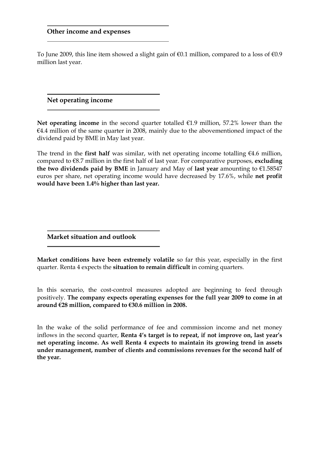To June 2009, this line item showed a slight gain of  $\epsilon$ 0.1 million, compared to a loss of  $\epsilon$ 0.9 million last year.

Net operating income

Net operating income in the second quarter totalled  $E1.9$  million, 57.2% lower than the  $€4.4$  million of the same quarter in 2008, mainly due to the abovementioned impact of the dividend paid by BME in May last year.

The trend in the first half was similar, with net operating income totalling  $\epsilon$ 4.6 million, compared to  $68.7$  million in the first half of last year. For comparative purposes, excluding the two dividends paid by BME in January and May of last year amounting to  $E1.58547$ euros per share, net operating income would have decreased by 17.6%, while net profit would have been 1.4% higher than last year.

Market situation and outlook

Market conditions have been extremely volatile so far this year, especially in the first quarter. Renta 4 expects the situation to remain difficult in coming quarters.

In this scenario, the cost-control measures adopted are beginning to feed through positively. The company expects operating expenses for the full year 2009 to come in at around €28 million, compared to €30.6 million in 2008.

In the wake of the solid performance of fee and commission income and net money inflows in the second quarter, Renta 4's target is to repeat, if not improve on, last year's net operating income. As well Renta 4 expects to maintain its growing trend in assets under management, number of clients and commissions revenues for the second half of the year.